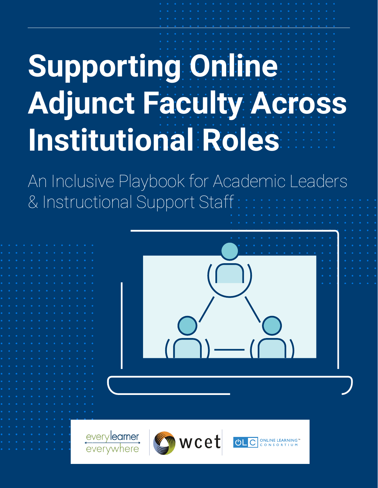# **Supporting Online Adjunct Faculty Across Institutional Roles**

An Inclusive Playbook for Academic Leaders & Instructional Support Staff



everylearner everywhere



vcet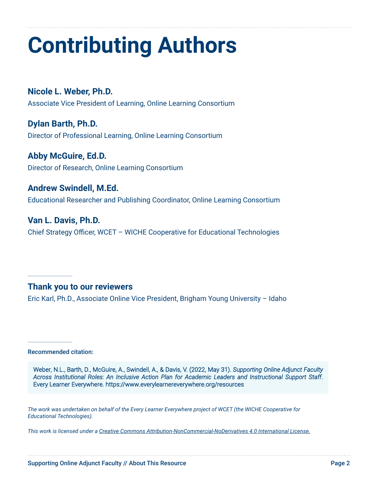### **Contributing Authors**

**Nicole L. Weber, Ph.D.**  Associate Vice President of Learning, Online Learning Consortium

**Dylan Barth, Ph.D.** Director of Professional Learning, Online Learning Consortium

**Abby McGuire, Ed.D.** Director of Research, Online Learning Consortium

**Andrew Swindell, M.Ed.** Educational Researcher and Publishing Coordinator, Online Learning Consortium

**Van L. Davis, Ph.D.** Chief Strategy Officer, WCET – WICHE Cooperative for Educational Technologies

#### **Thank you to our reviewers**

Eric Karl, Ph.D., Associate Online Vice President, Brigham Young University – Idaho

Recommended citation:

Weber, N.L., Barth, D., McGuire, A., Swindell, A., & Davis, V. (2022, May 31). *Supporting Online Adjunct Faculty Across Institutional Roles: An Inclusive Action Plan for Academic Leaders and Instructional Support Staff*. Every Learner Everywhere. https://www.everylearnereverywhere.org/resources

*The work was undertaken on behalf of the Every Learner Everywhere project of WCET (the WICHE Cooperative for Educational Technologies).*

*This work is licensed under a [Creative Commons Attribution-NonCommercial-NoDerivatives 4.0 International License](https://creativecommons.org/licenses/by-nc-nd/4.0/).*

Supporting Online Adjunct Faculty // About This Resource **Page 2** and Page 2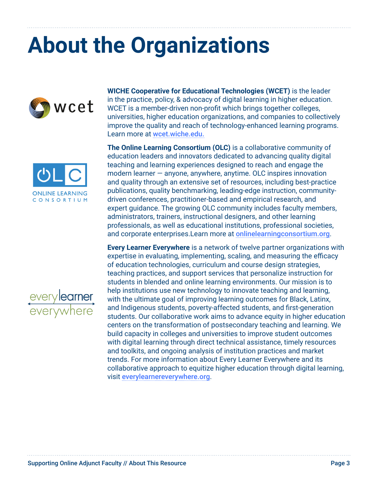### **About the Organizations**







**WICHE Cooperative for Educational Technologies (WCET)** is the leader in the practice, policy, & advocacy of digital learning in higher education. WCET is a member-driven non-profit which brings together colleges, universities, higher education organizations, and companies to collectively improve the quality and reach of technology-enhanced learning programs. Learn more at [wcet.wiche.edu.](http://wcet.wiche.edu)

**The Online Learning Consortium (OLC)** is a collaborative community of education leaders and innovators dedicated to advancing quality digital teaching and learning experiences designed to reach and engage the modern learner — anyone, anywhere, anytime. OLC inspires innovation and quality through an extensive set of resources, including best-practice publications, quality benchmarking, leading-edge instruction, communitydriven conferences, practitioner-based and empirical research, and expert guidance. The growing OLC community includes faculty members, administrators, trainers, instructional designers, and other learning professionals, as well as educational institutions, professional societies, and corporate enterprises.Learn more at [onlinelearningconsortium.org](https://onlinelearningconsortium.org/).

**Every Learner Everywhere** is a network of twelve partner organizations with expertise in evaluating, implementing, scaling, and measuring the efficacy of education technologies, curriculum and course design strategies, teaching practices, and support services that personalize instruction for students in blended and online learning environments. Our mission is to help institutions use new technology to innovate teaching and learning, with the ultimate goal of improving learning outcomes for Black, Latinx, and Indigenous students, poverty-affected students, and first-generation students. Our collaborative work aims to advance equity in higher education centers on the transformation of postsecondary teaching and learning. We build capacity in colleges and universities to improve student outcomes with digital learning through direct technical assistance, timely resources and toolkits, and ongoing analysis of institution practices and market trends. For more information about Every Learner Everywhere and its collaborative approach to equitize higher education through digital learning, visit [everylearnereverywhere.org](http://everylearnereverywhere.org).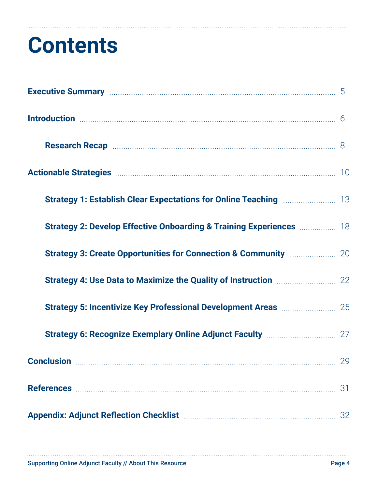### **Contents**

| Introduction <b>Execution Introduction 5</b>                                                                                              |    |
|-------------------------------------------------------------------------------------------------------------------------------------------|----|
|                                                                                                                                           |    |
| Actionable Strategies <b>Manual Actionable Strategies</b> 10                                                                              |    |
|                                                                                                                                           |    |
| <b>Strategy 2: Develop Effective Onboarding &amp; Training Experiences <b>Manufation</b> 18</b>                                           |    |
|                                                                                                                                           |    |
| Strategy 4: Use Data to Maximize the Quality of Instruction <b>Maximized 12</b> 22                                                        |    |
| <b>Strategy 5: Incentivize Key Professional Development Areas manually and Strategy 5: Incentivize Key Professional Development Areas</b> |    |
|                                                                                                                                           |    |
| <b>Conclusion</b> 29                                                                                                                      |    |
|                                                                                                                                           | 31 |
|                                                                                                                                           |    |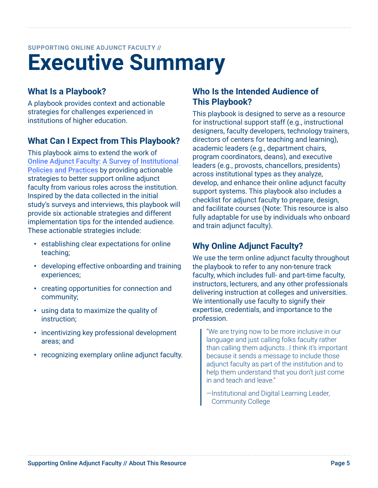### <span id="page-4-0"></span>**Executive Summary SUPPORTING ONLINE ADJUNCT FACULTY //**

### **What Is a Playbook?**

A playbook provides context and actionable strategies for challenges experienced in institutions of higher education.

#### **What Can I Expect from This Playbook?**

This playbook aims to extend the work of [Online Adjunct Faculty: A Survey of Institutional](https://www.everylearnereverywhere.org/resources/online-adjunct-faculty-a-survey-of-institutional-policies-and-practices/)  [Policies and Practices](https://www.everylearnereverywhere.org/resources/online-adjunct-faculty-a-survey-of-institutional-policies-and-practices/) by providing actionable strategies to better support online adjunct faculty from various roles across the institution. Inspired by the data collected in the initial study's surveys and interviews, this playbook will provide six actionable strategies and different implementation tips for the intended audience. These actionable strategies include:

- establishing clear expectations for online teaching;
- developing effective onboarding and training experiences;
- creating opportunities for connection and community;
- using data to maximize the quality of instruction;
- incentivizing key professional development areas; and
- recognizing exemplary online adjunct faculty.

#### **Who Is the Intended Audience of This Playbook?**

This playbook is designed to serve as a resource for instructional support staff (e.g., instructional designers, faculty developers, technology trainers, directors of centers for teaching and learning), academic leaders (e.g., department chairs, program coordinators, deans), and executive leaders (e.g., provosts, chancellors, presidents) across institutional types as they analyze, develop, and enhance their online adjunct faculty support systems. This playbook also includes a checklist for adjunct faculty to prepare, design, and facilitate courses (Note: This resource is also fully adaptable for use by individuals who onboard and train adjunct faculty).

#### **Why Online Adjunct Faculty?**

We use the term online adjunct faculty throughout the playbook to refer to any non-tenure track faculty, which includes full- and part-time faculty, instructors, lecturers, and any other professionals delivering instruction at colleges and universities. We intentionally use faculty to signify their expertise, credentials, and importance to the profession.

"We are trying now to be more inclusive in our language and just calling folks faculty rather than calling them adjuncts…I think it's important because it sends a message to include those adjunct faculty as part of the institution and to help them understand that you don't just come in and teach and leave."

—Institutional and Digital Learning Leader, Community College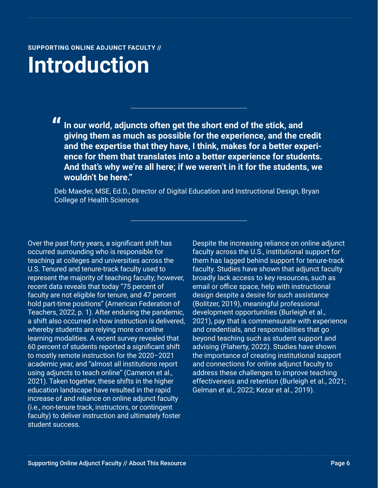### <span id="page-5-0"></span>**Introduction**

**"In our world, adjuncts often get the short end of the stick, and giving them as much as possible for the experience, and the credit and the expertise that they have, I think, makes for a better experience for them that translates into a better experience for students. And that's why we're all here; if we weren't in it for the students, we wouldn't be here."** 

Deb Maeder, MSE, Ed.D., Director of Digital Education and Instructional Design, Bryan College of Health Sciences

Over the past forty years, a significant shift has occurred surrounding who is responsible for teaching at colleges and universities across the U.S. Tenured and tenure-track faculty used to represent the majority of teaching faculty; however, recent data reveals that today "75 percent of faculty are not eligible for tenure, and 47 percent hold part-time positions" (American Federation of Teachers, 2022, p. 1). After enduring the pandemic, a shift also occurred in how instruction is delivered, whereby students are relying more on online learning modalities. A recent survey revealed that 60 percent of students reported a significant shift to mostly remote instruction for the 2020–2021 academic year, and "almost all institutions report using adjuncts to teach online" (Cameron et al., 2021). Taken together, these shifts in the higher education landscape have resulted in the rapid increase of and reliance on online adjunct faculty (i.e., non-tenure track, instructors, or contingent faculty) to deliver instruction and ultimately foster student success.

Despite the increasing reliance on online adjunct faculty across the U.S., institutional support for them has lagged behind support for tenure-track faculty. Studies have shown that adjunct faculty broadly lack access to key resources, such as email or office space, help with instructional design despite a desire for such assistance (Bolitzer, 2019), meaningful professional development opportunities (Burleigh et al., 2021), pay that is commensurate with experience and credentials, and responsibilities that go beyond teaching such as student support and advising (Flaherty, 2022). Studies have shown the importance of creating institutional support and connections for online adjunct faculty to address these challenges to improve teaching effectiveness and retention (Burleigh et al., 2021; Gelman et al., 2022; Kezar et al., 2019).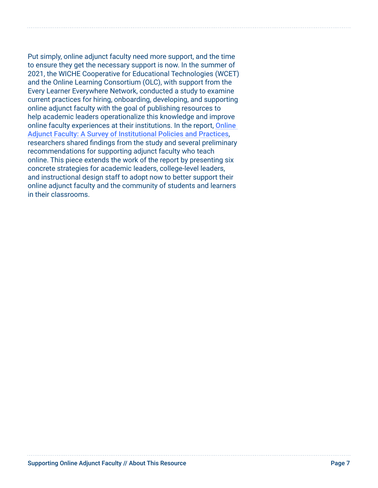Put simply, online adjunct faculty need more support, and the time to ensure they get the necessary support is now. In the summer of 2021, the WICHE Cooperative for Educational Technologies (WCET) and the Online Learning Consortium (OLC), with support from the Every Learner Everywhere Network, conducted a study to examine current practices for hiring, onboarding, developing, and supporting online adjunct faculty with the goal of publishing resources to help academic leaders operationalize this knowledge and improve online faculty experiences at their institutions. In the report, **Online** [Adjunct Faculty: A Survey of Institutional Policies and Practices](https://www.everylearnereverywhere.org/resources/online-adjunct-faculty-a-survey-of-institutional-policies-and-practices/), researchers shared findings from the study and several preliminary recommendations for supporting adjunct faculty who teach online. This piece extends the work of the report by presenting six concrete strategies for academic leaders, college-level leaders, and instructional design staff to adopt now to better support their online adjunct faculty and the community of students and learners in their classrooms.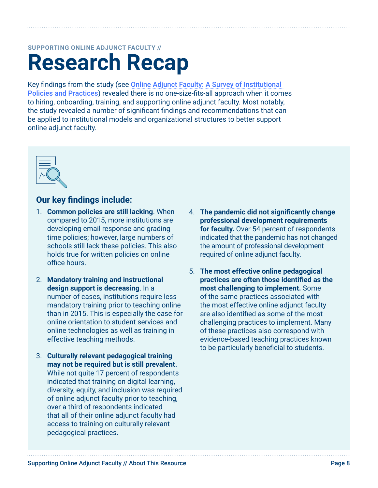### **Research Recap SUPPORTING ONLINE ADJUNCT FACULTY //**

Key findings from the study (see [Online Adjunct Faculty: A Survey of Institutional](https://www.everylearnereverywhere.org/resources/online-adjunct-faculty-a-survey-of-institutional-policies-and-practices/)  [Policies and Practices](https://www.everylearnereverywhere.org/resources/online-adjunct-faculty-a-survey-of-institutional-policies-and-practices/)) revealed there is no one-size-fits-all approach when it comes to hiring, onboarding, training, and supporting online adjunct faculty. Most notably, the study revealed a number of significant findings and recommendations that can be applied to institutional models and organizational structures to better support online adjunct faculty.



#### **Our key findings include:**

- 1. **Common policies are still lacking**. When compared to 2015, more institutions are developing email response and grading time policies; however, large numbers of schools still lack these policies. This also holds true for written policies on online office hours.
- 2. **Mandatory training and instructional design support is decreasing**. In a number of cases, institutions require less mandatory training prior to teaching online than in 2015. This is especially the case for online orientation to student services and online technologies as well as training in effective teaching methods.
- 3. **Culturally relevant pedagogical training may not be required but is still prevalent.**  While not quite 17 percent of respondents indicated that training on digital learning, diversity, equity, and inclusion was required of online adjunct faculty prior to teaching, over a third of respondents indicated that all of their online adjunct faculty had access to training on culturally relevant pedagogical practices.
- 4. **The pandemic did not significantly change professional development requirements for faculty.** Over 54 percent of respondents indicated that the pandemic has not changed the amount of professional development required of online adjunct faculty.
- 5. **The most effective online pedagogical practices are often those identified as the most challenging to implement.** Some of the same practices associated with the most effective online adjunct faculty are also identified as some of the most challenging practices to implement. Many of these practices also correspond with evidence-based teaching practices known to be particularly beneficial to students.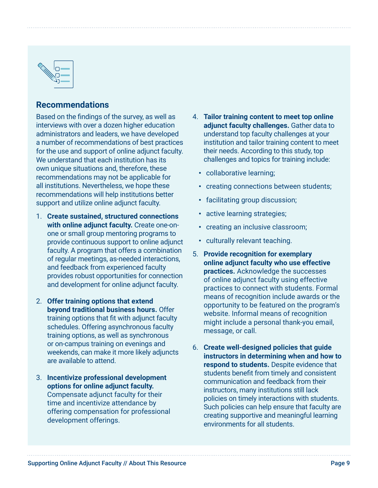<span id="page-8-0"></span>

#### **Recommendations**

Based on the findings of the survey, as well as interviews with over a dozen higher education administrators and leaders, we have developed a number of recommendations of best practices for the use and support of online adjunct faculty. We understand that each institution has its own unique situations and, therefore, these recommendations may not be applicable for all institutions. Nevertheless, we hope these recommendations will help institutions better support and utilize online adjunct faculty.

- 1. **Create sustained, structured connections with online adjunct faculty.** Create one-onone or small group mentoring programs to provide continuous support to online adjunct faculty. A program that offers a combination of regular meetings, as-needed interactions, and feedback from experienced faculty provides robust opportunities for connection and development for online adjunct faculty.
- 2. **Offer training options that extend beyond traditional business hours.** Offer training options that fit with adjunct faculty schedules. Offering asynchronous faculty training options, as well as synchronous or on-campus training on evenings and weekends, can make it more likely adjuncts are available to attend.
- 3. **Incentivize professional development options for online adjunct faculty.**  Compensate adjunct faculty for their time and incentivize attendance by offering compensation for professional development offerings.
- 4. **Tailor training content to meet top online adjunct faculty challenges.** Gather data to understand top faculty challenges at your institution and tailor training content to meet their needs. According to this study, top challenges and topics for training include:
	- collaborative learning;
	- creating connections between students;
	- facilitating group discussion;
	- active learning strategies;
	- creating an inclusive classroom;
	- culturally relevant teaching.
- 5. **Provide recognition for exemplary online adjunct faculty who use effective practices.** Acknowledge the successes of online adjunct faculty using effective practices to connect with students. Formal means of recognition include awards or the opportunity to be featured on the program's website. Informal means of recognition might include a personal thank-you email, message, or call.
- 6. **Create well-designed policies that guide instructors in determining when and how to respond to students.** Despite evidence that students benefit from timely and consistent communication and feedback from their instructors, many institutions still lack policies on timely interactions with students. Such policies can help ensure that faculty are creating supportive and meaningful learning environments for all students.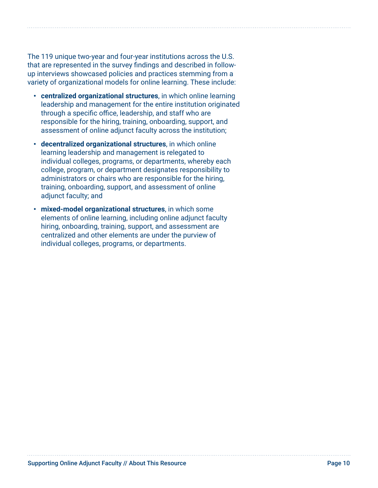<span id="page-9-0"></span>The 119 unique two-year and four-year institutions across the U.S. that are represented in the survey findings and described in followup interviews showcased policies and practices stemming from a variety of organizational models for online learning. These include:

- **centralized organizational structures**, in which online learning leadership and management for the entire institution originated through a specific office, leadership, and staff who are responsible for the hiring, training, onboarding, support, and assessment of online adjunct faculty across the institution;
- **decentralized organizational structures**, in which online learning leadership and management is relegated to individual colleges, programs, or departments, whereby each college, program, or department designates responsibility to administrators or chairs who are responsible for the hiring, training, onboarding, support, and assessment of online adjunct faculty; and
- **mixed-model organizational structures**, in which some elements of online learning, including online adjunct faculty hiring, onboarding, training, support, and assessment are centralized and other elements are under the purview of individual colleges, programs, or departments.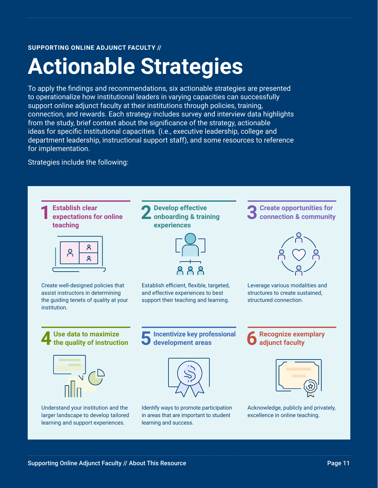### **Actionable Strategies**

To apply the findings and recommendations, six actionable strategies are presented to operationalize how institutional leaders in varying capacities can successfully support online adjunct faculty at their institutions through policies, training, connection, and rewards. Each strategy includes survey and interview data highlights from the study, brief context about the significance of the strategy, actionable ideas for specific institutional capacities (i.e., executive leadership, college and department leadership, instructional support staff), and some resources to reference for implementation.

Strategies include the following:

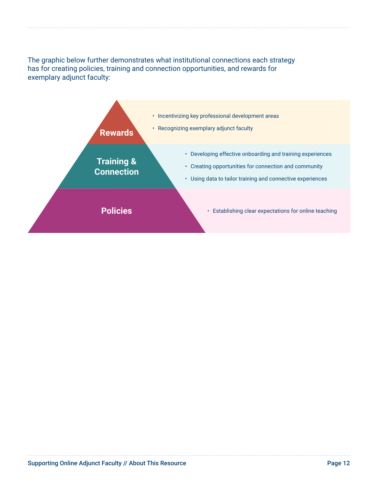The graphic below further demonstrates what institutional connections each strategy has for creating policies, training and connection opportunities, and rewards for exemplary adjunct faculty:

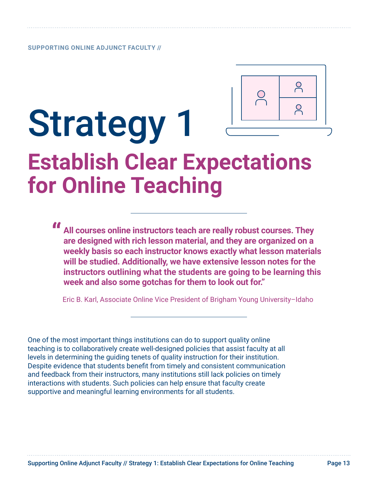

## <span id="page-12-0"></span>Strategy 1 **Establish Clear Expectations for Online Teaching**

**" All courses online instructors teach are really robust courses. They are designed with rich lesson material, and they are organized on a weekly basis so each instructor knows exactly what lesson materials will be studied. Additionally, we have extensive lesson notes for the instructors outlining what the students are going to be learning this week and also some gotchas for them to look out for."**

Eric B. Karl, Associate Online Vice President of Brigham Young University–Idaho

One of the most important things institutions can do to support quality online teaching is to collaboratively create well-designed policies that assist faculty at all levels in determining the guiding tenets of quality instruction for their institution. Despite evidence that students benefit from timely and consistent communication and feedback from their instructors, many institutions still lack policies on timely interactions with students. Such policies can help ensure that faculty create supportive and meaningful learning environments for all students.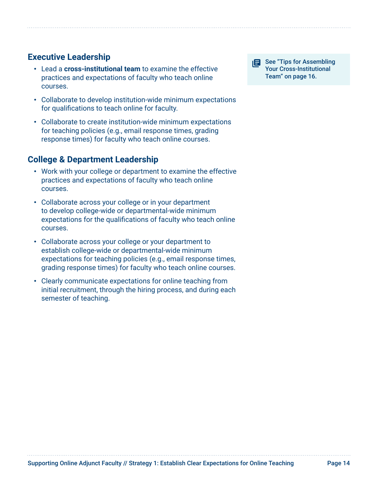#### **Executive Leadership**

- Lead a **cross-institutional team** to examine the effective practices and expectations of faculty who teach online courses.
- Collaborate to develop institution-wide minimum expectations for qualifications to teach online for faculty.
- Collaborate to create institution-wide minimum expectations for teaching policies (e.g., email response times, grading response times) for faculty who teach online courses.

#### **College & Department Leadership**

- Work with your college or department to examine the effective practices and expectations of faculty who teach online courses.
- Collaborate across your college or in your department to develop college-wide or departmental-wide minimum expectations for the qualifications of faculty who teach online courses.
- Collaborate across your college or your department to establish college-wide or departmental-wide minimum expectations for teaching policies (e.g., email response times, grading response times) for faculty who teach online courses.
- Clearly communicate expectations for online teaching from initial recruitment, through the hiring process, and during each semester of teaching.

**See "Tips for Assembling"** Your Cross-Institutional Team" on page 16.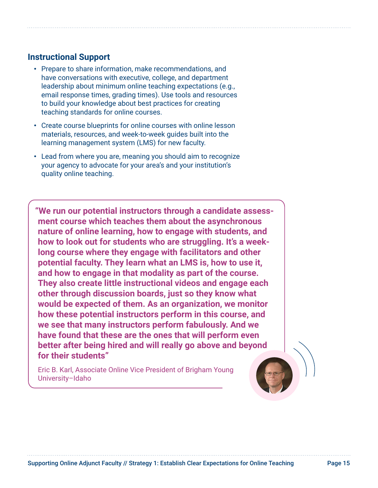#### **Instructional Support**

- Prepare to share information, make recommendations, and have conversations with executive, college, and department leadership about minimum online teaching expectations (e.g., email response times, grading times). Use tools and resources to build your knowledge about best practices for creating teaching standards for online courses.
- Create course blueprints for online courses with online lesson materials, resources, and week-to-week guides built into the learning management system (LMS) for new faculty.
- Lead from where you are, meaning you should aim to recognize your agency to advocate for your area's and your institution's quality online teaching.

**"We run our potential instructors through a candidate assessment course which teaches them about the asynchronous nature of online learning, how to engage with students, and how to look out for students who are struggling. It's a weeklong course where they engage with facilitators and other potential faculty. They learn what an LMS is, how to use it, and how to engage in that modality as part of the course. They also create little instructional videos and engage each other through discussion boards, just so they know what would be expected of them. As an organization, we monitor how these potential instructors perform in this course, and we see that many instructors perform fabulously. And we have found that these are the ones that will perform even better after being hired and will really go above and beyond for their students"**

Eric B. Karl, Associate Online Vice President of Brigham Young University–Idaho

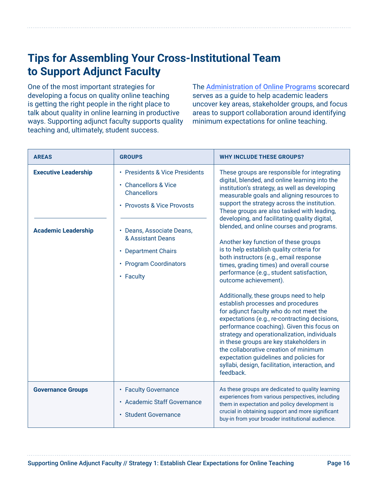### **Tips for Assembling Your Cross-Institutional Team to Support Adjunct Faculty**

One of the most important strategies for developing a focus on quality online teaching is getting the right people in the right place to talk about quality in online learning in productive ways. Supporting adjunct faculty supports quality teaching and, ultimately, student success.

The [Administration of Online Programs](https://onlinelearningconsortium.org/consult/olc-quality-scorecard-administration-online-programs/) scorecard serves as a guide to help academic leaders uncover key areas, stakeholder groups, and focus areas to support collaboration around identifying minimum expectations for online teaching.

| <b>AREAS</b>                                              | <b>GROUPS</b>                                                                                                                                                                                                                                | <b>WHY INCLUDE THESE GROUPS?</b>                                                                                                                                                                                                                                                                                                                                                                                                                                                                                                                                                                                                                                                                                                                                                                                                                                                                                                                                                                                                                                                                       |
|-----------------------------------------------------------|----------------------------------------------------------------------------------------------------------------------------------------------------------------------------------------------------------------------------------------------|--------------------------------------------------------------------------------------------------------------------------------------------------------------------------------------------------------------------------------------------------------------------------------------------------------------------------------------------------------------------------------------------------------------------------------------------------------------------------------------------------------------------------------------------------------------------------------------------------------------------------------------------------------------------------------------------------------------------------------------------------------------------------------------------------------------------------------------------------------------------------------------------------------------------------------------------------------------------------------------------------------------------------------------------------------------------------------------------------------|
| <b>Executive Leadership</b><br><b>Academic Leadership</b> | • Presidents & Vice Presidents<br>• Chancellors & Vice<br><b>Chancellors</b><br>• Provosts & Vice Provosts<br>• Deans, Associate Deans,<br>& Assistant Deans<br><b>Department Chairs</b><br>$\bullet$<br>• Program Coordinators<br>• Faculty | These groups are responsible for integrating<br>digital, blended, and online learning into the<br>institution's strategy, as well as developing<br>measurable goals and aligning resources to<br>support the strategy across the institution.<br>These groups are also tasked with leading,<br>developing, and facilitating quality digital,<br>blended, and online courses and programs.<br>Another key function of these groups<br>is to help establish quality criteria for<br>both instructors (e.g., email response<br>times, grading times) and overall course<br>performance (e.g., student satisfaction,<br>outcome achievement).<br>Additionally, these groups need to help<br>establish processes and procedures<br>for adjunct faculty who do not meet the<br>expectations (e.g., re-contracting decisions,<br>performance coaching). Given this focus on<br>strategy and operationalization, individuals<br>in these groups are key stakeholders in<br>the collaborative creation of minimum<br>expectation guidelines and policies for<br>syllabi, design, facilitation, interaction, and |
|                                                           |                                                                                                                                                                                                                                              | feedback.                                                                                                                                                                                                                                                                                                                                                                                                                                                                                                                                                                                                                                                                                                                                                                                                                                                                                                                                                                                                                                                                                              |
| <b>Governance Groups</b>                                  | • Faculty Governance<br>• Academic Staff Governance<br><b>Student Governance</b><br>$\bullet$                                                                                                                                                | As these groups are dedicated to quality learning<br>experiences from various perspectives, including<br>them in expectation and policy development is<br>crucial in obtaining support and more significant<br>buy-in from your broader institutional audience.                                                                                                                                                                                                                                                                                                                                                                                                                                                                                                                                                                                                                                                                                                                                                                                                                                        |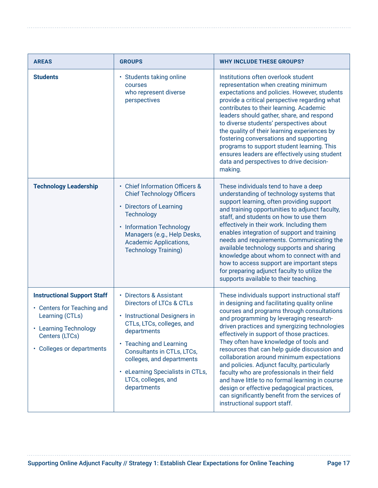| <b>AREAS</b>                                                                                                                                                | <b>GROUPS</b>                                                                                                                                                                                                                                                                                                   | <b>WHY INCLUDE THESE GROUPS?</b>                                                                                                                                                                                                                                                                                                                                                                                                                                                                                                                                                                                                                                                                               |
|-------------------------------------------------------------------------------------------------------------------------------------------------------------|-----------------------------------------------------------------------------------------------------------------------------------------------------------------------------------------------------------------------------------------------------------------------------------------------------------------|----------------------------------------------------------------------------------------------------------------------------------------------------------------------------------------------------------------------------------------------------------------------------------------------------------------------------------------------------------------------------------------------------------------------------------------------------------------------------------------------------------------------------------------------------------------------------------------------------------------------------------------------------------------------------------------------------------------|
| <b>Students</b>                                                                                                                                             | Students taking online<br>٠<br>courses<br>who represent diverse<br>perspectives                                                                                                                                                                                                                                 | Institutions often overlook student<br>representation when creating minimum<br>expectations and policies. However, students<br>provide a critical perspective regarding what<br>contributes to their learning. Academic<br>leaders should gather, share, and respond<br>to diverse students' perspectives about<br>the quality of their learning experiences by<br>fostering conversations and supporting<br>programs to support student learning. This<br>ensures leaders are effectively using student<br>data and perspectives to drive decision-<br>making.                                                                                                                                                |
| <b>Technology Leadership</b>                                                                                                                                | • Chief Information Officers &<br><b>Chief Technology Officers</b><br>• Directors of Learning<br><b>Technology</b><br><b>Information Technology</b><br>٠<br>Managers (e.g., Help Desks,<br><b>Academic Applications,</b><br><b>Technology Training)</b>                                                         | These individuals tend to have a deep<br>understanding of technology systems that<br>support learning, often providing support<br>and training opportunities to adjunct faculty,<br>staff, and students on how to use them<br>effectively in their work. Including them<br>enables integration of support and training<br>needs and requirements. Communicating the<br>available technology supports and sharing<br>knowledge about whom to connect with and<br>how to access support are important steps<br>for preparing adjunct faculty to utilize the<br>supports available to their teaching.                                                                                                             |
| <b>Instructional Support Staff</b><br>• Centers for Teaching and<br>Learning (CTLs)<br>• Learning Technology<br>Centers (LTCs)<br>• Colleges or departments | • Directors & Assistant<br><b>Directors of LTCs &amp; CTLs</b><br><b>Instructional Designers in</b><br>CTLs, LTCs, colleges, and<br>departments<br>• Teaching and Learning<br>Consultants in CTLs, LTCs,<br>colleges, and departments<br>• eLearning Specialists in CTLs,<br>LTCs, colleges, and<br>departments | These individuals support instructional staff<br>in designing and facilitating quality online<br>courses and programs through consultations<br>and programming by leveraging research-<br>driven practices and synergizing technologies<br>effectively in support of those practices.<br>They often have knowledge of tools and<br>resources that can help guide discussion and<br>collaboration around minimum expectations<br>and policies. Adjunct faculty, particularly<br>faculty who are professionals in their field<br>and have little to no formal learning in course<br>design or effective pedagogical practices,<br>can significantly benefit from the services of<br>instructional support staff. |

. . . . . . . . . . . . . . . . .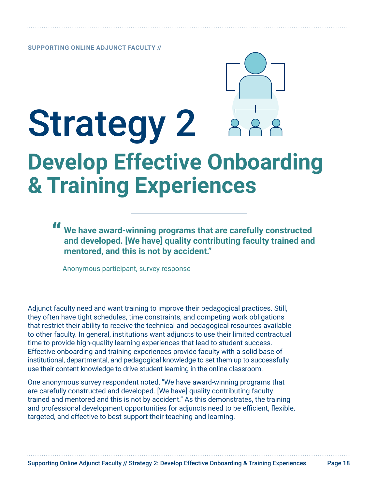## <span id="page-17-0"></span>Strategy 2 **Develop Effective Onboarding & Training Experiences**

**" We have award-winning programs that are carefully constructed and developed. [We have] quality contributing faculty trained and mentored, and this is not by accident."** 

Anonymous participant, survey response

Adjunct faculty need and want training to improve their pedagogical practices. Still, they often have tight schedules, time constraints, and competing work obligations that restrict their ability to receive the technical and pedagogical resources available to other faculty. In general, institutions want adjuncts to use their limited contractual time to provide high-quality learning experiences that lead to student success. Effective onboarding and training experiences provide faculty with a solid base of institutional, departmental, and pedagogical knowledge to set them up to successfully use their content knowledge to drive student learning in the online classroom.

One anonymous survey respondent noted, "We have award-winning programs that are carefully constructed and developed. [We have] quality contributing faculty trained and mentored and this is not by accident." As this demonstrates, the training and professional development opportunities for adjuncts need to be efficient, flexible, targeted, and effective to best support their teaching and learning.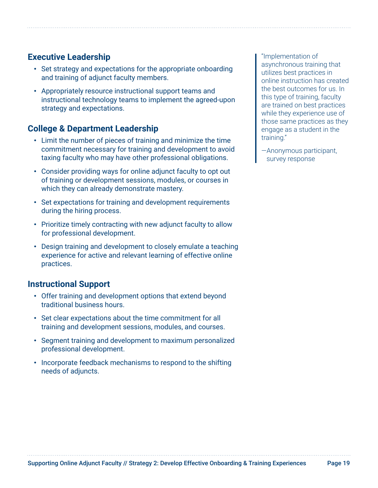#### **Executive Leadership**

- Set strategy and expectations for the appropriate onboarding and training of adjunct faculty members.
- Appropriately resource instructional support teams and instructional technology teams to implement the agreed-upon strategy and expectations.

#### **College & Department Leadership**

- Limit the number of pieces of training and minimize the time commitment necessary for training and development to avoid taxing faculty who may have other professional obligations.
- Consider providing ways for online adjunct faculty to opt out of training or development sessions, modules, or courses in which they can already demonstrate mastery.
- Set expectations for training and development requirements during the hiring process.
- Prioritize timely contracting with new adjunct faculty to allow for professional development.
- Design training and development to closely emulate a teaching experience for active and relevant learning of effective online practices.

#### **Instructional Support**

- Offer training and development options that extend beyond traditional business hours.
- Set clear expectations about the time commitment for all training and development sessions, modules, and courses.
- Segment training and development to maximum personalized professional development.
- Incorporate feedback mechanisms to respond to the shifting needs of adjuncts.

"Implementation of asynchronous training that utilizes best practices in online instruction has created the best outcomes for us. In this type of training, faculty are trained on best practices while they experience use of those same practices as they engage as a student in the training."

—Anonymous participant, survey response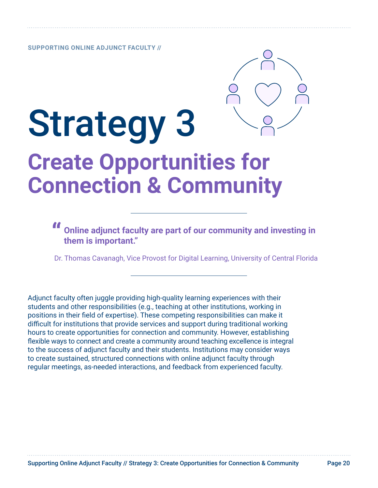

## <span id="page-19-0"></span>Strategy 3 **Create Opportunities for Connection & Community**

**" Online adjunct faculty are part of our community and investing in them is important."** 

Dr. Thomas Cavanagh, Vice Provost for Digital Learning, University of Central Florida

Adjunct faculty often juggle providing high-quality learning experiences with their students and other responsibilities (e.g., teaching at other institutions, working in positions in their field of expertise). These competing responsibilities can make it difficult for institutions that provide services and support during traditional working hours to create opportunities for connection and community. However, establishing flexible ways to connect and create a community around teaching excellence is integral to the success of adjunct faculty and their students. Institutions may consider ways to create sustained, structured connections with online adjunct faculty through regular meetings, as-needed interactions, and feedback from experienced faculty.

Supporting Online Adjunct Faculty // Strategy 3: Create Opportunities for Connection & Community Page 20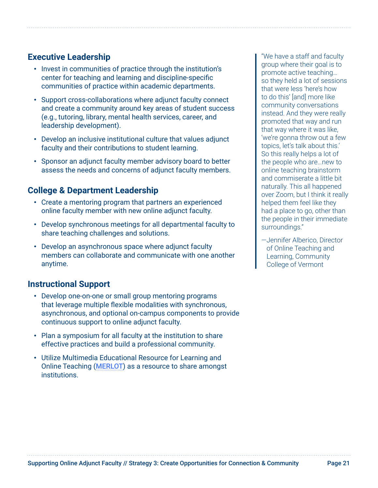#### **Executive Leadership**

- Invest in communities of practice through the institution's center for teaching and learning and discipline-specific communities of practice within academic departments.
- Support cross-collaborations where adjunct faculty connect and create a community around key areas of student success (e.g., tutoring, library, mental health services, career, and leadership development).
- Develop an inclusive institutional culture that values adjunct faculty and their contributions to student learning.
- Sponsor an adjunct faculty member advisory board to better assess the needs and concerns of adjunct faculty members.

#### **College & Department Leadership**

- Create a mentoring program that partners an experienced online faculty member with new online adjunct faculty.
- Develop synchronous meetings for all departmental faculty to share teaching challenges and solutions.
- Develop an asynchronous space where adjunct faculty members can collaborate and communicate with one another anytime.

#### **Instructional Support**

- Develop one-on-one or small group mentoring programs that leverage multiple flexible modalities with synchronous, asynchronous, and optional on-campus components to provide continuous support to online adjunct faculty.
- Plan a symposium for all faculty at the institution to share effective practices and build a professional community.
- Utilize Multimedia Educational Resource for Learning and Online Teaching ([MERLOT](https://www.merlot.org)) as a resource to share amongst institutions.

"We have a staff and faculty group where their goal is to promote active teaching… so they held a lot of sessions that were less 'here's how to do this' [and] more like community conversations instead. And they were really promoted that way and run that way where it was like, 'we're gonna throw out a few topics, let's talk about this.' So this really helps a lot of the people who are…new to online teaching brainstorm and commiserate a little bit naturally. This all happened over Zoom, but I think it really helped them feel like they had a place to go, other than the people in their immediate surroundings."

—Jennifer Alberico, Director of Online Teaching and Learning, Community College of Vermont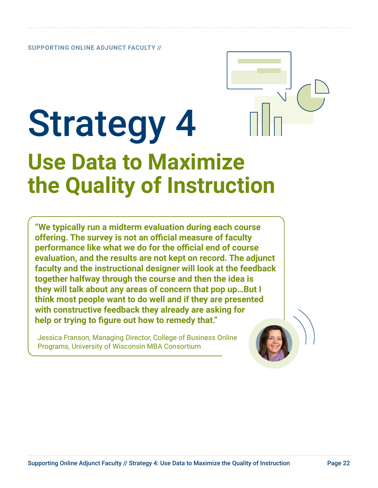## <span id="page-21-0"></span>**Strategy 4 Use Data to Maximize the Quality of Instruction**

**"We typically run a midterm evaluation during each course offering. The survey is not an official measure of faculty performance like what we do for the official end of course evaluation, and the results are not kept on record. The adjunct faculty and the instructional designer will look at the feedback together halfway through the course and then the idea is they will talk about any areas of concern that pop up…But I think most people want to do well and if they are presented with constructive feedback they already are asking for help or trying to figure out how to remedy that."**

Jessica Franson, Managing Director, College of Business Online Programs, University of Wisconsin MBA Consortium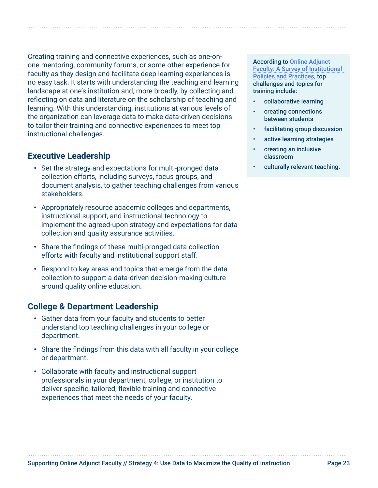Creating training and connective experiences, such as one-onone mentoring, community forums, or some other experience for faculty as they design and facilitate deep learning experiences is no easy task. It starts with understanding the teaching and learning landscape at one's institution and, more broadly, by collecting and reflecting on data and literature on the scholarship of teaching and learning. With this understanding, institutions at various levels of the organization can leverage data to make data-driven decisions to tailor their training and connective experiences to meet top instructional challenges.

#### **Executive Leadership**

- Set the strategy and expectations for multi-pronged data collection efforts, including surveys, focus groups, and document analysis, to gather teaching challenges from various stakeholders.
- Appropriately resource academic colleges and departments, instructional support, and instructional technology to implement the agreed-upon strategy and expectations for data collection and quality assurance activities.
- Share the findings of these multi-pronged data collection efforts with faculty and institutional support staff.
- Respond to key areas and topics that emerge from the data collection to support a data-driven decision-making culture around quality online education.

#### **College & Department Leadership**

- Gather data from your faculty and students to better understand top teaching challenges in your college or department.
- Share the findings from this data with all faculty in your college or department.
- Collaborate with faculty and instructional support professionals in your department, college, or institution to deliver specific, tailored, flexible training and connective experiences that meet the needs of your faculty.

According to [Online Adjunct](https://www.everylearnereverywhere.org/resources/online-adjunct-faculty-a-survey-of-institutional-policies-and-practices/)  [Faculty: A Survey of Institutional](https://www.everylearnereverywhere.org/resources/online-adjunct-faculty-a-survey-of-institutional-policies-and-practices/)  [Policies and Practices](https://www.everylearnereverywhere.org/resources/online-adjunct-faculty-a-survey-of-institutional-policies-and-practices/), top challenges and topics for training include:

- collaborative learning
- creating connections between students
- facilitating group discussion
- active learning strategies
- creating an inclusive classroom
- culturally relevant teaching.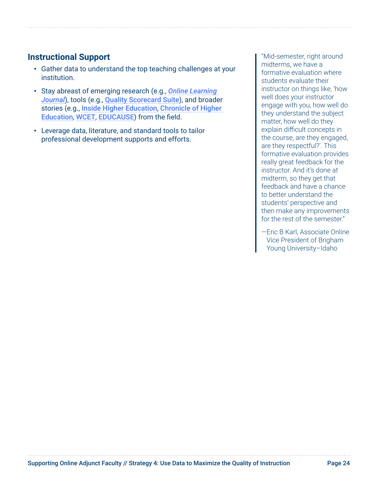#### **Instructional Support**

- Gather data to understand the top teaching challenges at your institution.
- Stay abreast of emerging research (e.g., *[Online Learning](https://onlinelearningconsortium.org/read/olc-online-learning-journal/)  [Journal](https://onlinelearningconsortium.org/read/olc-online-learning-journal/)*), tools (e.g., [Quality Scorecard Suite](https://onlinelearningconsortium.org/consult/olc-quality-scorecard-suite/)), and broader stories (e.g., [Inside Higher Education](https://www.insidehighered.com/), [Chronicle of Higher](https://www.chronicle.com/)  [Education](https://www.chronicle.com/), [WCET](https://wcet.wiche.edu/), [EDUCAUSE](https://er.educause.edu/)) from the field.
- Leverage data, literature, and standard tools to tailor professional development supports and efforts.

"Mid-semester, right around midterms, we have a formative evaluation where students evaluate their instructor on things like, 'how well does your instructor engage with you, how well do they understand the subject matter, how well do they explain difficult concepts in the course, are they engaged, are they respectful?'. This formative evaluation provides really great feedback for the instructor. And it's done at midterm, so they get that feedback and have a chance to better understand the students' perspective and then make any improvements for the rest of the semester."

—Eric B Karl, Associate Online Vice President of Brigham Young University–Idaho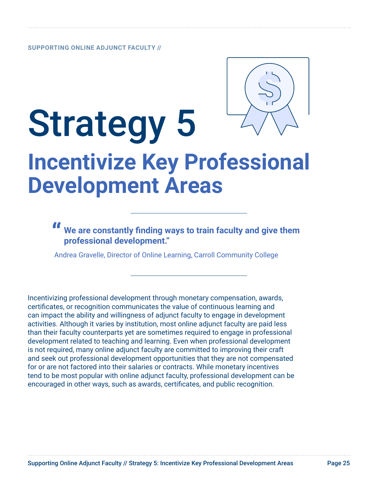

## <span id="page-24-0"></span>Strategy 5 **Incentivize Key Professional Development Areas**

#### **" We are constantly finding ways to train faculty and give them professional development."**

Andrea Gravelle, Director of Online Learning, Carroll Community College

Incentivizing professional development through monetary compensation, awards, certificates, or recognition communicates the value of continuous learning and can impact the ability and willingness of adjunct faculty to engage in development activities. Although it varies by institution, most online adjunct faculty are paid less than their faculty counterparts yet are sometimes required to engage in professional development related to teaching and learning. Even when professional development is not required, many online adjunct faculty are committed to improving their craft and seek out professional development opportunities that they are not compensated for or are not factored into their salaries or contracts. While monetary incentives tend to be most popular with online adjunct faculty, professional development can be encouraged in other ways, such as awards, certificates, and public recognition.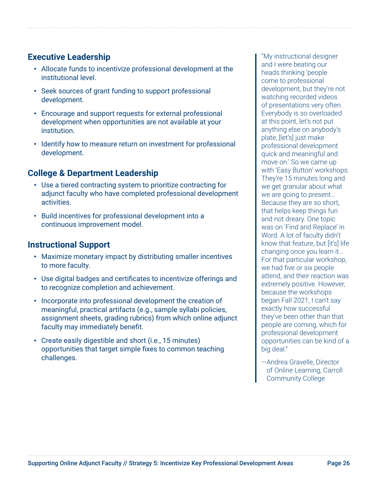#### **Executive Leadership**

- Allocate funds to incentivize professional development at the institutional level.
- Seek sources of grant funding to support professional development.
- Encourage and support requests for external professional development when opportunities are not available at your institution.
- Identify how to measure return on investment for professional development.

#### **College & Department Leadership**

- Use a tiered contracting system to prioritize contracting for adjunct faculty who have completed professional development activities.
- Build incentives for professional development into a continuous improvement model.

#### **Instructional Support**

- Maximize monetary impact by distributing smaller incentives to more faculty.
- Use digital badges and certificates to incentivize offerings and to recognize completion and achievement.
- Incorporate into professional development the creation of meaningful, practical artifacts (e.g., sample syllabi policies, assignment sheets, grading rubrics) from which online adjunct faculty may immediately benefit.
- Create easily digestible and short (i.e., 15 minutes) opportunities that target simple fixes to common teaching challenges.

"My instructional designer and I were beating our heads thinking 'people come to professional development, but they're not watching recorded videos of presentations very often. Everybody is so overloaded at this point, let's not put anything else on anybody's plate, [let's] just make professional development quick and meaningful and move on.' So we came up with 'Easy Button' workshops. They're 15 minutes long and we get granular about what we are going to present… Because they are so short, that helps keep things fun and not dreary. One topic was on 'Find and Replace' in Word. A lot of faculty didn't know that feature, but [it's] life changing once you learn it… For that particular workshop, we had five or six people attend, and their reaction was extremely positive. However, because the workshops began Fall 2021, I can't say exactly how successful they've been other than that people are coming, which for professional development opportunities can be kind of a big deal."

—Andrea Gravelle, Director of Online Learning, Carroll Community College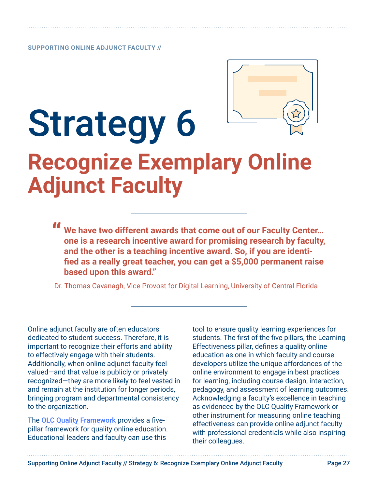

## <span id="page-26-0"></span>Strategy 6 **Recognize Exemplary Online Adjunct Faculty**

**" We have two different awards that come out of our Faculty Center… one is a research incentive award for promising research by faculty, and the other is a teaching incentive award. So, if you are identified as a really great teacher, you can get a \$5,000 permanent raise based upon this award."** 

Dr. Thomas Cavanagh, Vice Provost for Digital Learning, University of Central Florida

Online adjunct faculty are often educators dedicated to student success. Therefore, it is important to recognize their efforts and ability to effectively engage with their students. Additionally, when online adjunct faculty feel valued—and that value is publicly or privately recognized—they are more likely to feel vested in and remain at the institution for longer periods, bringing program and departmental consistency to the organization.

The [OLC Quality Framework](https://onlinelearningconsortium.org/about/quality-framework-five-pillars/) provides a fivepillar framework for quality online education. Educational leaders and faculty can use this

tool to ensure quality learning experiences for students. The first of the five pillars, the Learning Effectiveness pillar, defines a quality online education as one in which faculty and course developers utilize the unique affordances of the online environment to engage in best practices for learning, including course design, interaction, pedagogy, and assessment of learning outcomes. Acknowledging a faculty's excellence in teaching as evidenced by the OLC Quality Framework or other instrument for measuring online teaching effectiveness can provide online adjunct faculty with professional credentials while also inspiring their colleagues.

Supporting Online Adjunct Faculty // Strategy 6: Recognize Exemplary Online Adjunct Faculty Page 27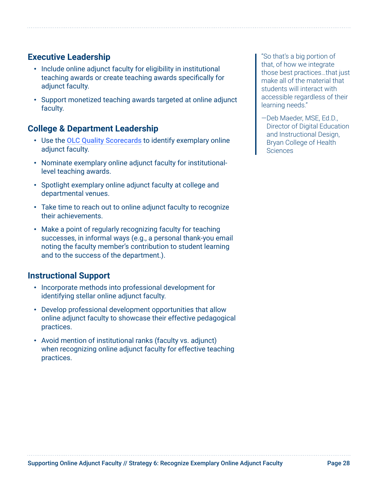#### **Executive Leadership**

- Include online adjunct faculty for eligibility in institutional teaching awards or create teaching awards specifically for adiunct faculty.
- Support monetized teaching awards targeted at online adjunct faculty.

#### **College & Department Leadership**

- Use the [OLC Quality Scorecards](https://onlinelearningconsortium.org/consult/olc-quality-scorecard-suite/) to identify exemplary online adjunct faculty.
- Nominate exemplary online adjunct faculty for institutionallevel teaching awards.
- Spotlight exemplary online adjunct faculty at college and departmental venues.
- Take time to reach out to online adjunct faculty to recognize their achievements.
- Make a point of regularly recognizing faculty for teaching successes, in informal ways (e.g., a personal thank-you email noting the faculty member's contribution to student learning and to the success of the department.).

#### **Instructional Support**

- Incorporate methods into professional development for identifying stellar online adjunct faculty.
- Develop professional development opportunities that allow online adjunct faculty to showcase their effective pedagogical practices.
- Avoid mention of institutional ranks (faculty vs. adjunct) when recognizing online adjunct faculty for effective teaching practices.

"So that's a big portion of that, of how we integrate those best practices…that just make all of the material that students will interact with accessible regardless of their learning needs."

—Deb Maeder, MSE, Ed.D., Director of Digital Education and Instructional Design, Bryan College of Health Sciences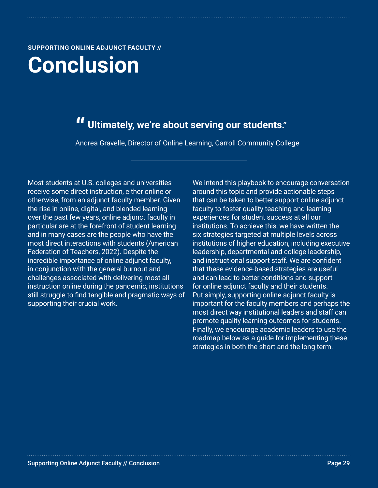<span id="page-28-0"></span>**Conclusion**

### **" Ultimately, we're about serving our students."**

Andrea Gravelle, Director of Online Learning, Carroll Community College

Most students at U.S. colleges and universities receive some direct instruction, either online or otherwise, from an adjunct faculty member. Given the rise in online, digital, and blended learning over the past few years, online adjunct faculty in particular are at the forefront of student learning and in many cases are the people who have the most direct interactions with students (American Federation of Teachers, 2022). Despite the incredible importance of online adjunct faculty, in conjunction with the general burnout and challenges associated with delivering most all instruction online during the pandemic, institutions still struggle to find tangible and pragmatic ways of supporting their crucial work.

We intend this playbook to encourage conversation around this topic and provide actionable steps that can be taken to better support online adjunct faculty to foster quality teaching and learning experiences for student success at all our institutions. To achieve this, we have written the six strategies targeted at multiple levels across institutions of higher education, including executive leadership, departmental and college leadership, and instructional support staff. We are confident that these evidence-based strategies are useful and can lead to better conditions and support for online adjunct faculty and their students. Put simply, supporting online adjunct faculty is important for the faculty members and perhaps the most direct way institutional leaders and staff can promote quality learning outcomes for students. Finally, we encourage academic leaders to use the roadmap below as a guide for implementing these strategies in both the short and the long term.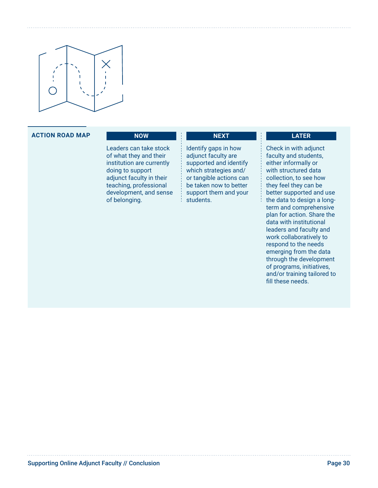

#### **ACTION ROAD MAP NOW**

Leaders can take stock of what they and their institution are currently doing to support adjunct faculty in their teaching, professional development, and sense of belonging.

#### Identify gaps in how adjunct faculty are supported and identify which strategies and/ or tangible actions can be taken now to better support them and your students.

**NEXT**

#### **LATER**

Check in with adjunct faculty and students, either informally or with structured data collection, to see how they feel they can be better supported and use the data to design a longterm and comprehensive plan for action. Share the data with institutional leaders and faculty and work collaboratively to respond to the needs emerging from the data through the development of programs, initiatives, and/or training tailored to fill these needs.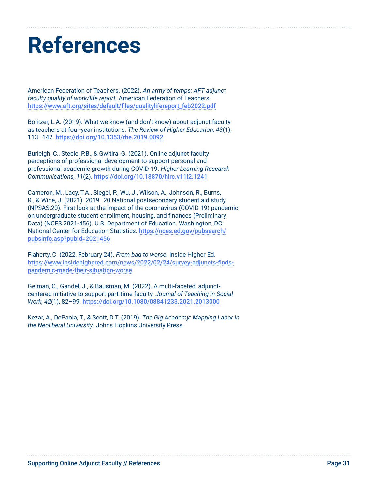### <span id="page-30-0"></span>**References**

American Federation of Teachers. (2022). *An army of temps: AFT adjunct faculty quality of work/life report*. American Federation of Teachers. [https://www.aft.org/sites/default/files/qualitylifereport\\_feb2022.pdf](https://www.aft.org/sites/default/files/qualitylifereport_feb2022.pdf)

Bolitzer, L.A. (2019). What we know (and don't know) about adjunct faculty as teachers at four-year institutions. *The Review of Higher Education, 43*(1), 113–142. <https://doi.org/10.1353/rhe.2019.0092>

Burleigh, C., Steele, P.B., & Gwitira, G. (2021). Online adjunct faculty perceptions of professional development to support personal and professional academic growth during COVID-19. *Higher Learning Research Communications, 11*(2). <https://doi.org/10.18870/hlrc.v11i2.1241>

Cameron, M., Lacy, T.A., Siegel, P., Wu, J., Wilson, A., Johnson, R., Burns, R., & Wine, J. (2021). 2019–20 National postsecondary student aid study (NPSAS:20): First look at the impact of the coronavirus (COVID-19) pandemic on undergraduate student enrollment, housing, and finances (Preliminary Data) (NCES 2021-456). U.S. Department of Education. Washington, DC: National Center for Education Statistics. [https://nces.ed.gov/pubsearch/](https://nces.ed.gov/pubsearch/pubsinfo.asp?pubid=2021456) [pubsinfo.asp?pubid=2021456](https://nces.ed.gov/pubsearch/pubsinfo.asp?pubid=2021456)

Flaherty, C. (2022, February 24). *From bad to worse*. Inside Higher Ed. [https://www.insidehighered.com/news/2022/02/24/survey-adjuncts-finds](https://www.insidehighered.com/news/2022/02/24/survey-adjuncts-finds-pandemic-made-their-situation-w)[pandemic-made-their-situation-worse](https://www.insidehighered.com/news/2022/02/24/survey-adjuncts-finds-pandemic-made-their-situation-w)

Gelman, C., Gandel, J., & Bausman, M. (2022). A multi-faceted, adjunctcentered initiative to support part-time faculty. *Journal of Teaching in Social Work, 42*(1), 82–99. <https://doi.org/10.1080/08841233.2021.2013000>

Kezar, A., DePaola, T., & Scott, D.T. (2019). *The Gig Academy: Mapping Labor in the Neoliberal University*. Johns Hopkins University Press.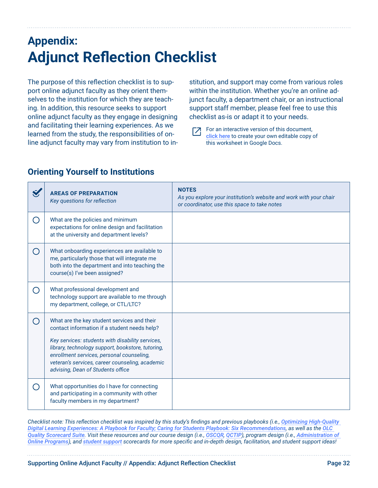### **Appendix: Adjunct Reflection Checklist**

The purpose of this reflection checklist is to support online adjunct faculty as they orient themselves to the institution for which they are teaching. In addition, this resource seeks to support online adjunct faculty as they engage in designing and facilitating their learning experiences. As we learned from the study, the responsibilities of online adjunct faculty may vary from institution to in-

stitution, and support may come from various roles within the institution. Whether you're an online adjunct faculty, a department chair, or an instructional support staff member, please feel free to use this checklist as-is or adapt it to your needs.

Г7

For an interactive version of this document, [click here](https://docs.google.com/document/d/1dRbYXgjs3oHTaq71--UQgnGDgT_4fjXmnWFwVlexYEM/copy) to create your own editable copy of this worksheet in Google Docs.

|                                               | <b>AREAS OF PREPARATION</b><br>Key questions for reflection                                                                                                                                                                                                                                                                               | <b>NOTES</b><br>As you explore your institution's website and work with your chair<br>or coordinator, use this space to take notes |
|-----------------------------------------------|-------------------------------------------------------------------------------------------------------------------------------------------------------------------------------------------------------------------------------------------------------------------------------------------------------------------------------------------|------------------------------------------------------------------------------------------------------------------------------------|
| $\left(\ \right)$                             | What are the policies and minimum<br>expectations for online design and facilitation<br>at the university and department levels?                                                                                                                                                                                                          |                                                                                                                                    |
| ◯                                             | What onboarding experiences are available to<br>me, particularly those that will integrate me<br>both into the department and into teaching the<br>course(s) I've been assigned?                                                                                                                                                          |                                                                                                                                    |
| ∩                                             | What professional development and<br>technology support are available to me through<br>my department, college, or CTL/LTC?                                                                                                                                                                                                                |                                                                                                                                    |
| ∩                                             | What are the key student services and their<br>contact information if a student needs help?<br>Key services: students with disability services,<br>library, technology support, bookstore, tutoring,<br>enrollment services, personal counseling,<br>veteran's services, career counseling, academic<br>advising, Dean of Students office |                                                                                                                                    |
| $\left( \begin{array}{c} \end{array} \right)$ | What opportunities do I have for connecting<br>and participating in a community with other<br>faculty members in my department?                                                                                                                                                                                                           |                                                                                                                                    |

#### **Orienting Yourself to Institutions**

*Checklist note: This reflection checklist was inspired by this study's findings and previous playbooks (i.e., Optimizing High-Quality [Digital Learning Experiences: A Playbook for Faculty; Caring for Students Playbook: Six Recommendations](https://www.everylearnereverywhere.org/resources/caring-for-students-playbook/), as well as the [OLC](https://onlinelearningconsortium.org/consult/olc-quality-scorecard-suite/)  [Quality Scorecard Suite](https://onlinelearningconsortium.org/consult/olc-quality-scorecard-suite/). Visit these resources and our course design (i.e., [OSCQR](https://onlinelearningconsortium.org/consult/oscqr-course-design-review/), [QCTIP](https://onlinelearningconsortium.org/consult/olc-quality-course-teaching-instructional-practice/)), program design (i.e., [Administration of](https://onlinelearningconsortium.org/consult/olc-quality-scorecard-administration-online-programs/)  [Online Programs](https://onlinelearningconsortium.org/consult/olc-quality-scorecard-administration-online-programs/)), and [student support](https://onlinelearningconsortium.org/consult/olc-quality-scorecard-student-support/) scorecards for more specific and in-depth design, facilitation, and student support ideas!*